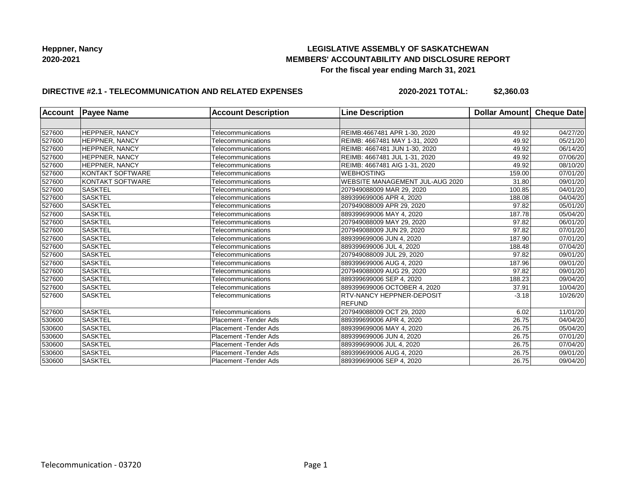## **LEGISLATIVE ASSEMBLY OF SASKATCHEWAN MEMBERS' ACCOUNTABILITY AND DISCLOSURE REPORT For the fiscal year ending March 31, 2021**

## **DIRECTIVE #2.1 - TELECOMMUNICATION AND RELATED EXPENSES**

**2020-2021 TOTAL: \$2,360.03**

| <b>Account</b> | <b>Payee Name</b>       | <b>Account Description</b>    | <b>Line Description</b>         | Dollar Amount Cheque Date |          |
|----------------|-------------------------|-------------------------------|---------------------------------|---------------------------|----------|
|                |                         |                               |                                 |                           |          |
| 527600         | <b>HEPPNER, NANCY</b>   | Telecommunications            | REIMB:4667481 APR 1-30, 2020    | 49.92                     | 04/27/20 |
| 527600         | <b>HEPPNER, NANCY</b>   | Telecommunications            | REIMB: 4667481 MAY 1-31, 2020   | 49.92                     | 05/21/20 |
| 527600         | <b>HEPPNER, NANCY</b>   | Telecommunications            | REIMB: 4667481 JUN 1-30, 2020   | 49.92                     | 06/14/20 |
| 527600         | <b>HEPPNER, NANCY</b>   | Telecommunications            | REIMB: 4667481 JUL 1-31, 2020   | 49.92                     | 07/06/20 |
| 527600         | <b>HEPPNER, NANCY</b>   | Telecommunications            | REIMB: 4667481 AIG 1-31, 2020   | 49.92                     | 08/10/20 |
| 527600         | KONTAKT SOFTWARE        | Telecommunications            | <b>WEBHOSTING</b>               | 159.00                    | 07/01/20 |
| 527600         | <b>KONTAKT SOFTWARE</b> | Telecommunications            | WEBSITE MANAGEMENT JUL-AUG 2020 | 31.80                     | 09/01/20 |
| 527600         | <b>SASKTEL</b>          | Telecommunications            | 207949088009 MAR 29, 2020       | 100.85                    | 04/01/20 |
| 527600         | <b>SASKTEL</b>          | Telecommunications            | 889399699006 APR 4, 2020        | 188.08                    | 04/04/20 |
| 527600         | <b>SASKTEL</b>          | Telecommunications            | 207949088009 APR 29, 2020       | 97.82                     | 05/01/20 |
| 527600         | <b>SASKTEL</b>          | Telecommunications            | 889399699006 MAY 4, 2020        | 187.78                    | 05/04/20 |
| 527600         | <b>SASKTEL</b>          | Telecommunications            | 207949088009 MAY 29, 2020       | 97.82                     | 06/01/20 |
| 527600         | <b>SASKTEL</b>          | Telecommunications            | 207949088009 JUN 29, 2020       | 97.82                     | 07/01/20 |
| 527600         | <b>SASKTEL</b>          | Telecommunications            | 889399699006 JUN 4, 2020        | 187.90                    | 07/01/20 |
| 527600         | <b>SASKTEL</b>          | Telecommunications            | 889399699006 JUL 4, 2020        | 188.48                    | 07/04/20 |
| 527600         | <b>SASKTEL</b>          | Telecommunications            | 207949088009 JUL 29, 2020       | 97.82                     | 09/01/20 |
| 527600         | <b>SASKTEL</b>          | Telecommunications            | 889399699006 AUG 4, 2020        | 187.96                    | 09/01/20 |
| 527600         | <b>SASKTEL</b>          | Telecommunications            | 207949088009 AUG 29, 2020       | 97.82                     | 09/01/20 |
| 527600         | <b>SASKTEL</b>          | Telecommunications            | 889399699006 SEP 4, 2020        | 188.23                    | 09/04/20 |
| 527600         | <b>SASKTEL</b>          | Telecommunications            | 889399699006 OCTOBER 4, 2020    | 37.91                     | 10/04/20 |
| 527600         | <b>SASKTEL</b>          | Telecommunications            | RTV-NANCY HEPPNER-DEPOSIT       | $-3.18$                   | 10/26/20 |
|                |                         |                               | <b>REFUND</b>                   |                           |          |
| 527600         | <b>SASKTEL</b>          | Telecommunications            | 207949088009 OCT 29, 2020       | 6.02                      | 11/01/20 |
| 530600         | <b>SASKTEL</b>          | Placement - Tender Ads        | 889399699006 APR 4, 2020        | 26.75                     | 04/04/20 |
| 530600         | <b>SASKTEL</b>          | Placement - Tender Ads        | 889399699006 MAY 4, 2020        | 26.75                     | 05/04/20 |
| 530600         | <b>SASKTEL</b>          | <b>Placement - Tender Ads</b> | 889399699006 JUN 4, 2020        | 26.75                     | 07/01/20 |
| 530600         | <b>SASKTEL</b>          | Placement - Tender Ads        | 889399699006 JUL 4, 2020        | 26.75                     | 07/04/20 |
| 530600         | <b>SASKTEL</b>          | <b>Placement - Tender Ads</b> | 889399699006 AUG 4, 2020        | 26.75                     | 09/01/20 |
| 530600         | <b>SASKTEL</b>          | Placement - Tender Ads        | 889399699006 SEP 4, 2020        | 26.75                     | 09/04/20 |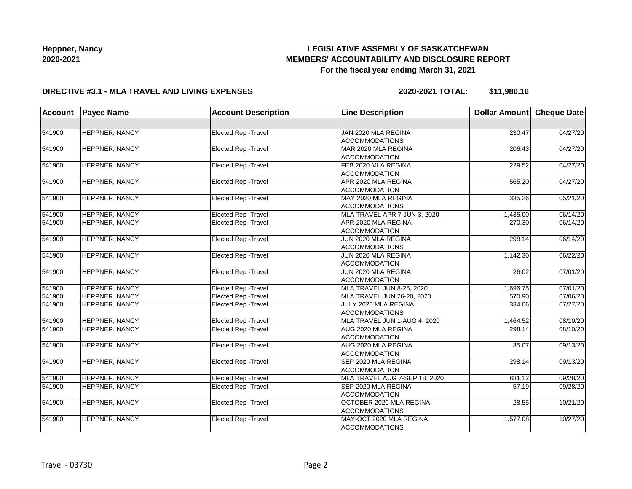# **LEGISLATIVE ASSEMBLY OF SASKATCHEWAN MEMBERS' ACCOUNTABILITY AND DISCLOSURE REPORT For the fiscal year ending March 31, 2021**

#### **DIRECTIVE #3.1 - MLA TRAVEL AND LIVING EXPENSES**

**2020-2021 TOTAL: \$11,980.16**

| <b>Account</b> | <b>Payee Name</b>     | <b>Account Description</b>  | <b>Line Description</b>       | <b>Dollar Amount</b> | Cheque Date |
|----------------|-----------------------|-----------------------------|-------------------------------|----------------------|-------------|
|                |                       |                             |                               |                      |             |
| 541900         | HEPPNER, NANCY        | Elected Rep - Travel        | JAN 2020 MLA REGINA           | 230.47               | 04/27/20    |
|                |                       |                             | <b>ACCOMMODATIONS</b>         |                      |             |
| 541900         | <b>HEPPNER, NANCY</b> | Elected Rep - Travel        | MAR 2020 MLA REGINA           | 206.43               | 04/27/20    |
|                |                       |                             | ACCOMMODATION                 |                      |             |
| 541900         | <b>HEPPNER, NANCY</b> | Elected Rep - Travel        | FEB 2020 MLA REGINA           | 229.52               | 04/27/20    |
|                |                       |                             | <b>ACCOMMODATION</b>          |                      |             |
| 541900         | <b>HEPPNER, NANCY</b> | <b>Elected Rep - Travel</b> | APR 2020 MLA REGINA           | 565.20               | 04/27/20    |
|                |                       |                             | <b>ACCOMMODATION</b>          |                      |             |
| 541900         | HEPPNER, NANCY        | Elected Rep - Travel        | MAY 2020 MLA REGINA           | 335.26               | 05/21/20    |
|                |                       |                             | <b>ACCOMMODATIONS</b>         |                      |             |
| 541900         | <b>HEPPNER, NANCY</b> | <b>Elected Rep - Travel</b> | MLA TRAVEL APR 7-JUN 3, 2020  | 1,435.00             | 06/14/20    |
| 541900         | <b>HEPPNER, NANCY</b> | <b>Elected Rep - Travel</b> | APR 2020 MLA REGINA           | 270.30               | 06/14/20    |
|                |                       |                             | <b>ACCOMMODATION</b>          |                      |             |
| 541900         | <b>HEPPNER, NANCY</b> | <b>Elected Rep - Travel</b> | JUN 2020 MLA REGINA           | 298.14               | 06/14/20    |
|                |                       |                             | <b>ACCOMMODATIONS</b>         |                      |             |
| 541900         | <b>HEPPNER, NANCY</b> | <b>Elected Rep - Travel</b> | JUN 2020 MLA REGINA           | 1,142.30             | 06/22/20    |
|                |                       |                             | <b>ACCOMMODATION</b>          |                      |             |
| 541900         | HEPPNER, NANCY        | <b>Elected Rep - Travel</b> | JUN 2020 MLA REGINA           | 26.02                | 07/01/20    |
|                |                       |                             | <b>ACCOMMODATION</b>          |                      |             |
| 541900         | <b>HEPPNER, NANCY</b> | <b>Elected Rep - Travel</b> | MLA TRAVEL JUN 8-25, 2020     | 1,696.75             | 07/01/20    |
| 541900         | HEPPNER, NANCY        | <b>Elected Rep - Travel</b> | MLA TRAVEL JUN 26-20, 2020    | 570.90               | 07/06/20    |
| 541900         | HEPPNER, NANCY        | Elected Rep - Travel        | JULY 2020 MLA REGINA          | 334.06               | 07/27/20    |
|                |                       |                             | <b>ACCOMMODATIONS</b>         |                      |             |
| 541900         | HEPPNER, NANCY        | Elected Rep - Travel        | MLA TRAVEL JUN 1-AUG 4, 2020  | 1.464.52             | 08/10/20    |
| 541900         | <b>HEPPNER, NANCY</b> | <b>Elected Rep - Travel</b> | AUG 2020 MLA REGINA           | 298.14               | 08/10/20    |
|                |                       |                             | <b>ACCOMMODATION</b>          |                      |             |
| 541900         | <b>HEPPNER, NANCY</b> | Elected Rep - Travel        | AUG 2020 MLA REGINA           | 35.07                | 09/13/20    |
|                |                       |                             | <b>ACCOMMODATION</b>          |                      |             |
| 541900         | <b>HEPPNER, NANCY</b> | <b>Elected Rep - Travel</b> | SEP 2020 MLA REGINA           | 298.14               | 09/13/20    |
|                |                       |                             | <b>ACCOMMODATION</b>          |                      |             |
| 541900         | <b>HEPPNER, NANCY</b> | <b>Elected Rep - Travel</b> | MLA TRAVEL AUG 7-SEP 18, 2020 | 881.12               | 09/28/20    |
| 541900         | <b>HEPPNER, NANCY</b> | <b>Elected Rep - Travel</b> | SEP 2020 MLA REGINA           | 57.19                | 09/28/20    |
|                |                       |                             | <b>ACCOMMODATION</b>          |                      |             |
| 541900         | HEPPNER, NANCY        | <b>Elected Rep - Travel</b> | OCTOBER 2020 MLA REGINA       | 28.55                | 10/21/20    |
|                |                       |                             | <b>ACCOMMODATIONS</b>         |                      |             |
| 541900         | HEPPNER, NANCY        | Elected Rep - Travel        | MAY-OCT 2020 MLA REGINA       | 1,577.08             | 10/27/20    |
|                |                       |                             | <b>ACCOMMODATIONS</b>         |                      |             |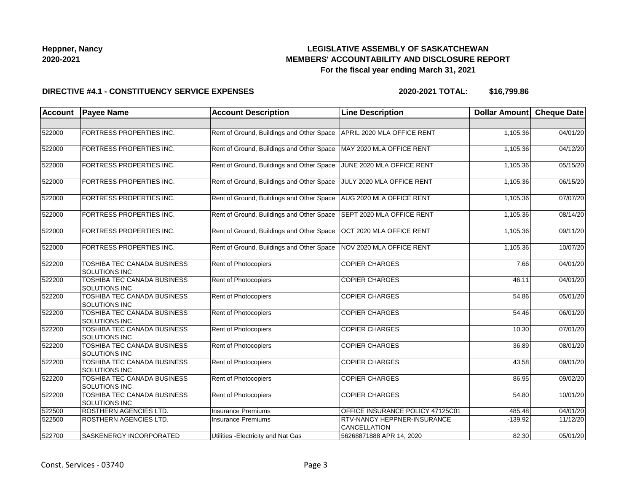## **LEGISLATIVE ASSEMBLY OF SASKATCHEWAN MEMBERS' ACCOUNTABILITY AND DISCLOSURE REPORT For the fiscal year ending March 31, 2021**

#### **DIRECTIVE #4.1 - CONSTITUENCY SERVICE EXPENSES**

**2020-2021 TOTAL: \$16,799.86**

| <b>Account</b> | <b>Payee Name</b>                                   | <b>Account Description</b>                                           | <b>Line Description</b>                            | <b>Dollar Amount</b> | <b>Cheque Date</b> |
|----------------|-----------------------------------------------------|----------------------------------------------------------------------|----------------------------------------------------|----------------------|--------------------|
|                |                                                     |                                                                      |                                                    |                      |                    |
| 522000         | FORTRESS PROPERTIES INC.                            | Rent of Ground, Buildings and Other Space                            | APRIL 2020 MLA OFFICE RENT                         | 1,105.36             | 04/01/20           |
| 522000         | FORTRESS PROPERTIES INC.                            | Rent of Ground, Buildings and Other Space                            | MAY 2020 MLA OFFICE RENT                           | 1,105.36             | 04/12/20           |
| 522000         | FORTRESS PROPERTIES INC.                            | Rent of Ground, Buildings and Other Space                            | JUNE 2020 MLA OFFICE RENT                          | 1,105.36             | 05/15/20           |
| 522000         | FORTRESS PROPERTIES INC.                            | Rent of Ground, Buildings and Other Space                            | JULY 2020 MLA OFFICE RENT                          | 1,105.36             | 06/15/20           |
| 522000         | FORTRESS PROPERTIES INC.                            | Rent of Ground, Buildings and Other Space   AUG 2020 MLA OFFICE RENT |                                                    | 1,105.36             | 07/07/20           |
| 522000         | FORTRESS PROPERTIES INC.                            | Rent of Ground, Buildings and Other Space                            | SEPT 2020 MLA OFFICE RENT                          | 1,105.36             | 08/14/20           |
| 522000         | FORTRESS PROPERTIES INC.                            | Rent of Ground, Buildings and Other Space                            | OCT 2020 MLA OFFICE RENT                           | 1,105.36             | 09/11/20           |
| 522000         | FORTRESS PROPERTIES INC.                            | Rent of Ground, Buildings and Other Space                            | NOV 2020 MLA OFFICE RENT                           | 1,105.36             | 10/07/20           |
| 522200         | TOSHIBA TEC CANADA BUSINESS<br>SOLUTIONS INC        | Rent of Photocopiers                                                 | <b>COPIER CHARGES</b>                              | 7.66                 | 04/01/20           |
| 522200         | TOSHIBA TEC CANADA BUSINESS<br>SOLUTIONS INC        | <b>Rent of Photocopiers</b>                                          | <b>COPIER CHARGES</b>                              | 46.11                | 04/01/20           |
| 522200         | TOSHIBA TEC CANADA BUSINESS<br><b>SOLUTIONS INC</b> | <b>Rent of Photocopiers</b>                                          | <b>COPIER CHARGES</b>                              | 54.86                | 05/01/20           |
| 522200         | TOSHIBA TEC CANADA BUSINESS<br><b>SOLUTIONS INC</b> | <b>Rent of Photocopiers</b>                                          | <b>COPIER CHARGES</b>                              | 54.46                | 06/01/20           |
| 522200         | TOSHIBA TEC CANADA BUSINESS<br><b>SOLUTIONS INC</b> | <b>Rent of Photocopiers</b>                                          | <b>COPIER CHARGES</b>                              | 10.30                | 07/01/20           |
| 522200         | TOSHIBA TEC CANADA BUSINESS<br><b>SOLUTIONS INC</b> | <b>Rent of Photocopiers</b>                                          | <b>COPIER CHARGES</b>                              | 36.89                | 08/01/20           |
| 522200         | TOSHIBA TEC CANADA BUSINESS<br>SOLUTIONS INC        | Rent of Photocopiers                                                 | <b>COPIER CHARGES</b>                              | 43.58                | 09/01/20           |
| 522200         | TOSHIBA TEC CANADA BUSINESS<br><b>SOLUTIONS INC</b> | Rent of Photocopiers                                                 | <b>COPIER CHARGES</b>                              | 86.95                | 09/02/20           |
| 522200         | TOSHIBA TEC CANADA BUSINESS<br><b>SOLUTIONS INC</b> | Rent of Photocopiers                                                 | <b>COPIER CHARGES</b>                              | 54.80                | 10/01/20           |
| 522500         | ROSTHERN AGENCIES LTD.                              | <b>Insurance Premiums</b>                                            | OFFICE INSURANCE POLICY 47125C01                   | 485.48               | 04/01/20           |
| 522500         | ROSTHERN AGENCIES LTD.                              | <b>Insurance Premiums</b>                                            | <b>RTV-NANCY HEPPNER-INSURANCE</b><br>CANCELLATION | $-139.92$            | 11/12/20           |
| 522700         | SASKENERGY INCORPORATED                             | Utilities - Electricity and Nat Gas                                  | 56268871888 APR 14, 2020                           | 82.30                | 05/01/20           |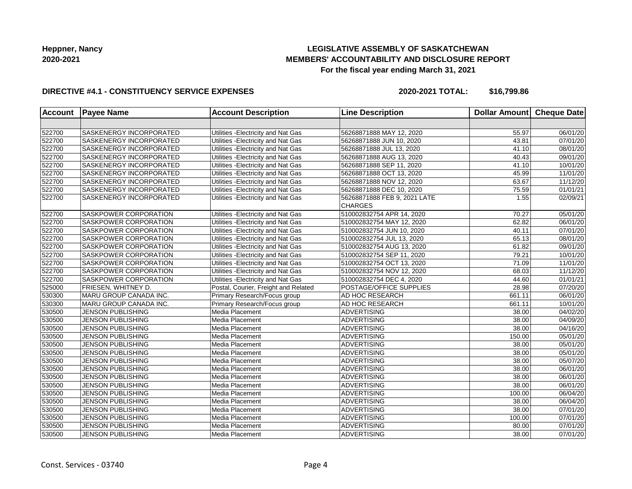## **LEGISLATIVE ASSEMBLY OF SASKATCHEWAN MEMBERS' ACCOUNTABILITY AND DISCLOSURE REPORT For the fiscal year ending March 31, 2021**

#### **DIRECTIVE #4.1 - CONSTITUENCY SERVICE EXPENSES**

**2020-2021 TOTAL: \$16,799.86**

| <b>Account</b> | <b>Payee Name</b>            | <b>Account Description</b>           | <b>Line Description</b>                        | Dollar Amount Cheque Date |                       |
|----------------|------------------------------|--------------------------------------|------------------------------------------------|---------------------------|-----------------------|
|                |                              |                                      |                                                |                           |                       |
| 522700         | SASKENERGY INCORPORATED      | Utilities - Electricity and Nat Gas  | 56268871888 MAY 12, 2020                       | 55.97                     | 06/01/20              |
| 522700         | SASKENERGY INCORPORATED      | Utilities - Electricity and Nat Gas  | 56268871888 JUN 10, 2020                       | 43.81                     | 07/01/20              |
| 522700         | SASKENERGY INCORPORATED      | Utilities - Electricity and Nat Gas  | 56268871888 JUL 13, 2020                       | 41.10                     | 08/01/20              |
| 522700         | SASKENERGY INCORPORATED      | Utilities - Electricity and Nat Gas  | 56268871888 AUG 13, 2020                       | 40.43                     | 09/01/20              |
| 522700         | SASKENERGY INCORPORATED      | Utilities - Electricity and Nat Gas  | 56268871888 SEP 11, 2020                       | 41.10                     | 10/01/20              |
| 522700         | SASKENERGY INCORPORATED      | Utilities - Electricity and Nat Gas  | 56268871888 OCT 13, 2020                       | 45.99                     | 11/01/20              |
| 522700         | SASKENERGY INCORPORATED      | Utilities - Electricity and Nat Gas  | 56268871888 NOV 12, 2020                       | 63.67                     | 11/12/20              |
| 522700         | SASKENERGY INCORPORATED      | Utilities - Electricity and Nat Gas  | 56268871888 DEC 10, 2020                       | 75.59                     | 01/01/21              |
| 522700         | SASKENERGY INCORPORATED      | Utilities - Electricity and Nat Gas  | 56268871888 FEB 9, 2021 LATE<br><b>CHARGES</b> | 1.55                      | 02/09/21              |
| 522700         | SASKPOWER CORPORATION        | Utilities - Electricity and Nat Gas  | 510002832754 APR 14, 2020                      | 70.27                     | 05/01/20              |
| 522700         | SASKPOWER CORPORATION        | Utilities - Electricity and Nat Gas  | 510002832754 MAY 12, 2020                      | 62.82                     | 06/01/20              |
| 522700         | SASKPOWER CORPORATION        | Utilities - Electricity and Nat Gas  | 510002832754 JUN 10, 2020                      | 40.11                     | 07/01/20              |
| 522700         | SASKPOWER CORPORATION        | Utilities - Electricity and Nat Gas  | 510002832754 JUL 13, 2020                      | 65.13                     | 08/01/20              |
| 522700         | <b>SASKPOWER CORPORATION</b> | Utilities - Electricity and Nat Gas  | 510002832754 AUG 13, 2020                      | 61.82                     | 09/01/20              |
| 522700         | SASKPOWER CORPORATION        | Utilities - Electricity and Nat Gas  | 510002832754 SEP 11, 2020                      | 79.21                     | 10/01/20              |
| 522700         | SASKPOWER CORPORATION        | Utilities - Electricity and Nat Gas  | 510002832754 OCT 13, 2020                      | 71.09                     | 11/01/20              |
| 522700         | SASKPOWER CORPORATION        | Utilities - Electricity and Nat Gas  | 510002832754 NOV 12, 2020                      | 68.03                     | 11/12/20              |
| 522700         | SASKPOWER CORPORATION        | Utilities - Electricity and Nat Gas  | 510002832754 DEC 4, 2020                       | 44.60                     | 01/01/21              |
| 525000         | FRIESEN, WHITNEY D.          | Postal, Courier, Freight and Related | POSTAGE/OFFICE SUPPLIES                        | 28.98                     | 07/20/20              |
| 530300         | MARU GROUP CANADA INC.       | Primary Research/Focus group         | AD HOC RESEARCH                                | 661.11                    | 06/01/20              |
| 530300         | MARU GROUP CANADA INC.       | Primary Research/Focus group         | AD HOC RESEARCH                                | 661.11                    | 10/01/20              |
| 530500         | <b>JENSON PUBLISHING</b>     | Media Placement                      | <b>ADVERTISING</b>                             | 38.00                     | 04/02/20              |
| 530500         | <b>JENSON PUBLISHING</b>     | Media Placement                      | <b>ADVERTISING</b>                             | 38.00                     | 04/09/20              |
| 530500         | JENSON PUBLISHING            | Media Placement                      | <b>ADVERTISING</b>                             | 38.00                     | $\overline{04/16/20}$ |
| 530500         | <b>JENSON PUBLISHING</b>     | Media Placement                      | <b>ADVERTISING</b>                             | 150.00                    | 05/01/20              |
| 530500         | <b>JENSON PUBLISHING</b>     | Media Placement                      | <b>ADVERTISING</b>                             | 38.00                     | 05/01/20              |
| 530500         | <b>JENSON PUBLISHING</b>     | Media Placement                      | <b>ADVERTISING</b>                             | 38.00                     | 05/01/20              |
| 530500         | JENSON PUBLISHING            | Media Placement                      | <b>ADVERTISING</b>                             | 38.00                     | 05/07/20              |
| 530500         | JENSON PUBLISHING            | Media Placement                      | <b>ADVERTISING</b>                             | 38.00                     | 06/01/20              |
| 530500         | JENSON PUBLISHING            | Media Placement                      | <b>ADVERTISING</b>                             | 38.00                     | 06/01/20              |
| 530500         | <b>JENSON PUBLISHING</b>     | Media Placement                      | <b>ADVERTISING</b>                             | 38.00                     | 06/01/20              |
| 530500         | <b>JENSON PUBLISHING</b>     | Media Placement                      | <b>ADVERTISING</b>                             | 100.00                    | 06/04/20              |
| 530500         | <b>JENSON PUBLISHING</b>     | Media Placement                      | <b>ADVERTISING</b>                             | 38.00                     | 06/04/20              |
| 530500         | <b>JENSON PUBLISHING</b>     | Media Placement                      | <b>ADVERTISING</b>                             | 38.00                     | 07/01/20              |
| 530500         | <b>JENSON PUBLISHING</b>     | Media Placement                      | <b>ADVERTISING</b>                             | 100.00                    | 07/01/20              |
| 530500         | <b>JENSON PUBLISHING</b>     | Media Placement                      | <b>ADVERTISING</b>                             | 80.00                     | 07/01/20              |
| 530500         | <b>JENSON PUBLISHING</b>     | Media Placement                      | <b>ADVERTISING</b>                             | 38.00                     | 07/01/20              |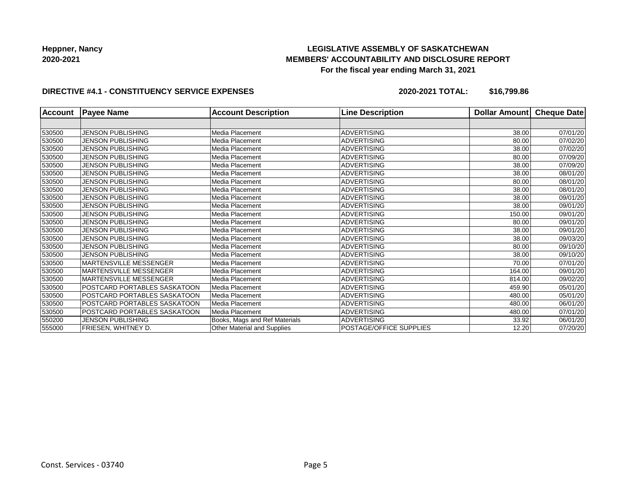## **LEGISLATIVE ASSEMBLY OF SASKATCHEWAN MEMBERS' ACCOUNTABILITY AND DISCLOSURE REPORT For the fiscal year ending March 31, 2021**

#### **DIRECTIVE #4.1 - CONSTITUENCY SERVICE EXPENSES**

**2020-2021 TOTAL: \$16,799.86**

| <b>Account</b> | <b>Payee Name</b>             | <b>Account Description</b>    | <b>Line Description</b>        | <b>Dollar Amountl</b> | <b>Cheque Date</b> |
|----------------|-------------------------------|-------------------------------|--------------------------------|-----------------------|--------------------|
|                |                               |                               |                                |                       |                    |
| 530500         | JENSON PUBLISHING             | Media Placement               | <b>ADVERTISING</b>             | 38.00                 | 07/01/20           |
| 530500         | <b>JENSON PUBLISHING</b>      | Media Placement               | <b>ADVERTISING</b>             | 80.00                 | 07/02/20           |
| 530500         | <b>JENSON PUBLISHING</b>      | Media Placement               | <b>ADVERTISING</b>             | 38.00                 | 07/02/20           |
| 530500         | JENSON PUBLISHING             | Media Placement               | <b>ADVERTISING</b>             | 80.00                 | 07/09/20           |
| 530500         | JENSON PUBLISHING             | Media Placement               | <b>ADVERTISING</b>             | 38.00                 | 07/09/20           |
| 530500         | <b>JENSON PUBLISHING</b>      | Media Placement               | <b>ADVERTISING</b>             | 38.00                 | 08/01/20           |
| 530500         | JENSON PUBLISHING             | Media Placement               | <b>ADVERTISING</b>             | 80.00                 | 08/01/20           |
| 530500         | <b>JENSON PUBLISHING</b>      | Media Placement               | <b>ADVERTISING</b>             | 38.00                 | 08/01/20           |
| 530500         | JENSON PUBLISHING             | Media Placement               | <b>ADVERTISING</b>             | 38.00                 | 09/01/20           |
| 530500         | <b>JENSON PUBLISHING</b>      | Media Placement               | <b>ADVERTISING</b>             | 38.00                 | 09/01/20           |
| 530500         | <b>JENSON PUBLISHING</b>      | Media Placement               | <b>ADVERTISING</b>             | 150.00                | 09/01/20           |
| 530500         | JENSON PUBLISHING             | Media Placement               | <b>ADVERTISING</b>             | 80.00                 | 09/01/20           |
| 530500         | <b>JENSON PUBLISHING</b>      | Media Placement               | <b>ADVERTISING</b>             | 38.00                 | 09/01/20           |
| 530500         | JENSON PUBLISHING             | Media Placement               | <b>ADVERTISING</b>             | 38.00                 | 09/03/20           |
| 530500         | <b>JENSON PUBLISHING</b>      | Media Placement               | <b>ADVERTISING</b>             | 80.00                 | 09/10/20           |
| 530500         | <b>JENSON PUBLISHING</b>      | Media Placement               | <b>ADVERTISING</b>             | 38.00                 | 09/10/20           |
| 530500         | <b>MARTENSVILLE MESSENGER</b> | Media Placement               | <b>ADVERTISING</b>             | 70.00                 | 07/01/20           |
| 530500         | MARTENSVILLE MESSENGER        | Media Placement               | <b>ADVERTISING</b>             | 164.00                | 09/01/20           |
| 530500         | <b>MARTENSVILLE MESSENGER</b> | Media Placement               | <b>ADVERTISING</b>             | 814.00                | 09/02/20           |
| 530500         | POSTCARD PORTABLES SASKATOON  | Media Placement               | <b>ADVERTISING</b>             | 459.90                | 05/01/20           |
| 530500         | POSTCARD PORTABLES SASKATOON  | Media Placement               | <b>ADVERTISING</b>             | 480.00                | 05/01/20           |
| 530500         | POSTCARD PORTABLES SASKATOON  | Media Placement               | <b>ADVERTISING</b>             | 480.00                | 06/01/20           |
| 530500         | POSTCARD PORTABLES SASKATOON  | Media Placement               | <b>ADVERTISING</b>             | 480.00                | 07/01/20           |
| 550200         | JENSON PUBLISHING             | Books, Mags and Ref Materials | <b>ADVERTISING</b>             | 33.92                 | 06/01/20           |
| 555000         | FRIESEN, WHITNEY D.           | Other Material and Supplies   | <b>POSTAGE/OFFICE SUPPLIES</b> | 12.20                 | 07/20/20           |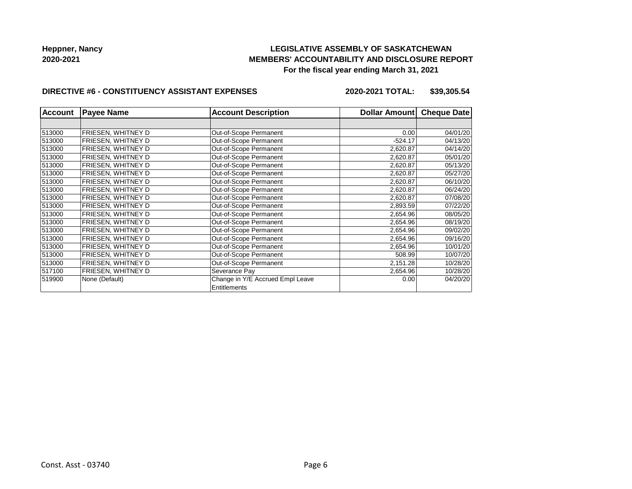## **LEGISLATIVE ASSEMBLY OF SASKATCHEWAN MEMBERS' ACCOUNTABILITY AND DISCLOSURE REPORT For the fiscal year ending March 31, 2021**

#### **DIRECTIVE #6 - CONSTITUENCY ASSISTANT EXPENSES**

**2020-2021 TOTAL: \$39,305.54**

| <b>Account</b> | <b>Payee Name</b>  | <b>Account Description</b>       | <b>Dollar Amount</b> | <b>Cheque Date</b> |
|----------------|--------------------|----------------------------------|----------------------|--------------------|
|                |                    |                                  |                      |                    |
| 513000         | FRIESEN, WHITNEY D | Out-of-Scope Permanent           | 0.00                 | 04/01/20           |
| 513000         | FRIESEN, WHITNEY D | Out-of-Scope Permanent           | $-524.17$            | 04/13/20           |
| 513000         | FRIESEN, WHITNEY D | Out-of-Scope Permanent           | 2,620.87             | 04/14/20           |
| 513000         | FRIESEN, WHITNEY D | Out-of-Scope Permanent           | 2,620.87             | 05/01/20           |
| 513000         | FRIESEN, WHITNEY D | Out-of-Scope Permanent           | 2,620.87             | 05/13/20           |
| 513000         | FRIESEN, WHITNEY D | Out-of-Scope Permanent           | 2,620.87             | 05/27/20           |
| 513000         | FRIESEN, WHITNEY D | Out-of-Scope Permanent           | 2,620.87             | 06/10/20           |
| 513000         | FRIESEN, WHITNEY D | Out-of-Scope Permanent           | 2,620.87             | 06/24/20           |
| 513000         | FRIESEN, WHITNEY D | Out-of-Scope Permanent           | 2,620.87             | 07/08/20           |
| 513000         | FRIESEN, WHITNEY D | Out-of-Scope Permanent           | 2,893.59             | 07/22/20           |
| 513000         | FRIESEN. WHITNEY D | Out-of-Scope Permanent           | 2,654.96             | 08/05/20           |
| 513000         | FRIESEN, WHITNEY D | Out-of-Scope Permanent           | 2,654.96             | 08/19/20           |
| 513000         | FRIESEN, WHITNEY D | Out-of-Scope Permanent           | 2,654.96             | 09/02/20           |
| 513000         | FRIESEN, WHITNEY D | Out-of-Scope Permanent           | 2,654.96             | 09/16/20           |
| 513000         | FRIESEN, WHITNEY D | Out-of-Scope Permanent           | 2,654.96             | 10/01/20           |
| 513000         | FRIESEN, WHITNEY D | Out-of-Scope Permanent           | 508.99               | 10/07/20           |
| 513000         | FRIESEN, WHITNEY D | Out-of-Scope Permanent           | 2,151.28             | 10/28/20           |
| 517100         | FRIESEN, WHITNEY D | Severance Pay                    | 2,654.96             | 10/28/20           |
| 519900         | None (Default)     | Change in Y/E Accrued Empl Leave | 0.00                 | 04/20/20           |
|                |                    | Entitlements                     |                      |                    |